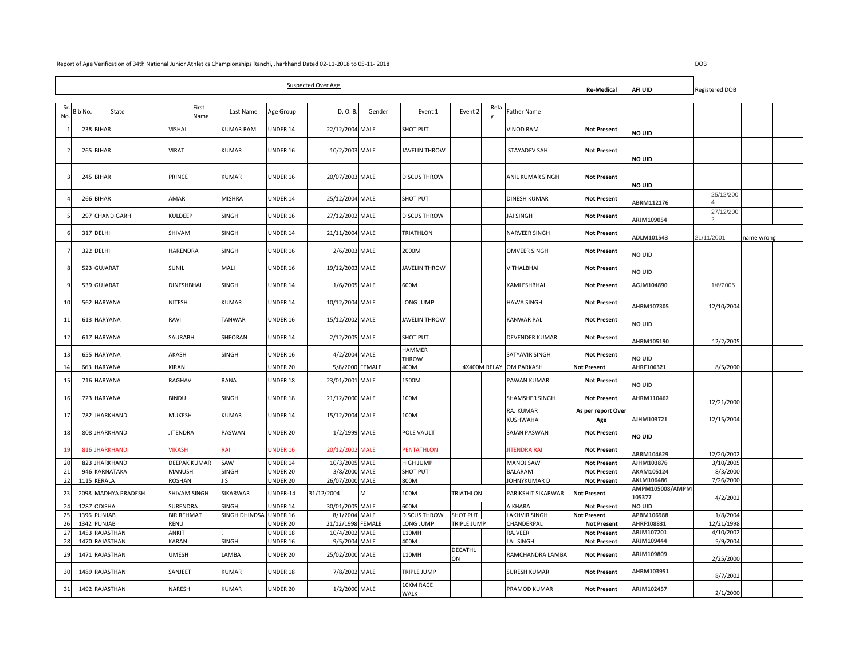| <b>Suspected Over Age</b> |        |                          |                   |                  |                      |                                  |               |                          |                  |      | <b>Re-Medical</b>       | AFI UID                                  | Registered DOB            |                             |            |
|---------------------------|--------|--------------------------|-------------------|------------------|----------------------|----------------------------------|---------------|--------------------------|------------------|------|-------------------------|------------------------------------------|---------------------------|-----------------------------|------------|
|                           |        |                          |                   |                  |                      |                                  |               |                          |                  |      |                         |                                          |                           |                             |            |
| Sı<br>No.                 | Bib No | State                    | First<br>Name     | Last Name        | Age Group            | D. O. B                          | Gender        | Event 1                  | Event 2          | Rela | Father Name             |                                          |                           |                             |            |
|                           |        | 238 BIHAR                | VISHAL            | <b>KUMAR RAM</b> | UNDER 14             | 22/12/2004 MALE                  |               | <b>SHOT PUT</b>          |                  |      | VINOD RAM               | <b>Not Present</b>                       | NO UID                    |                             |            |
|                           |        | 265 BIHAR                | VIRAT             | <b>KUMAR</b>     | UNDER 16             | 10/2/2003 MALE                   |               | <b>JAVELIN THROW</b>     |                  |      | <b>STAYADEV SAH</b>     | <b>Not Present</b>                       | NO UID                    |                             |            |
|                           |        | 245 BIHAR                | PRINCE            | <b>KUMAR</b>     | UNDER 16             | 20/07/2003 MALE                  |               | <b>DISCUS THROW</b>      |                  |      | ANIL KUMAR SINGH        | <b>Not Present</b>                       | NO UID                    |                             |            |
|                           |        | 266 BIHAR                | AMAR              | <b>MISHRA</b>    | UNDER 14             | 25/12/2004 MALE                  |               | SHOT PUT                 |                  |      | DINESH KUMAR            | <b>Not Present</b>                       | ABRM112176                | 25/12/200<br>$\overline{a}$ |            |
|                           |        | 297 CHANDIGARH           | KULDEEP           | SINGH            | UNDER 16             | 27/12/2002 MALE                  |               | <b>DISCUS THROW</b>      |                  |      | <b>JAI SINGH</b>        | <b>Not Present</b>                       | ARJM109054                | 27/12/200<br>2              |            |
|                           |        | 317 DELHI                | SHIVAM            | SINGH            | UNDER 14             | 21/11/2004 MALE                  |               | <b>TRIATHLON</b>         |                  |      | <b>NARVEER SINGH</b>    | <b>Not Present</b>                       | ADLM101543                | 21/11/2001                  | name wrong |
|                           |        | 322 DELHI                | HARENDRA          | SINGH            | UNDER 16             | 2/6/2003 MALE                    |               | 2000M                    |                  |      | OMVEER SINGH            | <b>Not Present</b>                       | no uid                    |                             |            |
|                           |        | 523 GUJARAT              | SUNIL             | MALI             | UNDER 16             | 19/12/2003 MALE                  |               | <b>JAVELIN THROW</b>     |                  |      | VITHALBHAI              | <b>Not Present</b>                       | NO UID                    |                             |            |
|                           |        | 539 GUJARAT              | <b>DINESHBHAI</b> | SINGH            | UNDER 14             | 1/6/2005 MALE                    |               | 600M                     |                  |      | KAMLESHBHAI             | <b>Not Present</b>                       | AGJM104890                | 1/6/2005                    |            |
| 10                        |        | 562 HARYANA              | NITESH            | <b>KUMAR</b>     | UNDER 14             | 10/12/2004 MALE                  |               | LONG JUMP                |                  |      | <b>HAWA SINGH</b>       | <b>Not Present</b>                       | AHRM107305                | 12/10/2004                  |            |
| 11                        |        | 613 HARYANA              | RAVI              | <b>TANWAR</b>    | UNDER 16             | 15/12/2002 MALE                  |               | <b>JAVELIN THROW</b>     |                  |      | KANWAR PAL              | <b>Not Present</b>                       | no uid                    |                             |            |
| 12                        |        | 617 HARYANA              | SAURABH           | SHEORAN          | UNDER 14             | 2/12/2005 MALE                   |               | SHOT PUT                 |                  |      | <b>DEVENDER KUMAR</b>   | <b>Not Present</b>                       | AHRM105190                | 12/2/2005                   |            |
| 13                        |        | 655 HARYANA              | AKASH             | SINGH            | UNDER 16             | 4/2/2004 MALE                    |               | <b>HAMMER</b><br>THROW   |                  |      | SATYAVIR SINGH          | <b>Not Present</b>                       | no uid                    |                             |            |
| 14                        |        | 663 HARYANA              | KIRAN             |                  | UNDER 20             | 5/8/2000 FEMALE                  |               | 400M                     |                  |      | 4X400M RELAY OM PARKASH | <b>Not Present</b>                       | AHRF106321                | 8/5/2000                    |            |
| 15                        |        | 716 HARYANA              | RAGHAV            | <b>RANA</b>      | UNDER 18             | 23/01/2001 MALE                  |               | 1500M                    |                  |      | PAWAN KUMAR             | <b>Not Present</b>                       | NO UID                    |                             |            |
| 16                        |        | 723 HARYANA              | BINDU             | SINGH            | UNDER 18             | 21/12/2000 MALE                  |               | 100M                     |                  |      | SHAMSHER SINGH          | <b>Not Present</b>                       | AHRM110462                | 12/21/2000                  |            |
| 17                        |        | 782 JHARKHAND            | MUKESH            | <b>KUMAR</b>     | UNDER 14             | 15/12/2004 MALE                  |               | 100M                     |                  |      | RAJ KUMAR<br>KUSHWAHA   | As per report Over<br>Age                | AJHM103721                | 12/15/2004                  |            |
| 18                        |        | 808 JHARKHAND            | <b>JITENDRA</b>   | PASWAN           | UNDER 20             | 1/2/1999 MALE                    |               | POLE VAULT               |                  |      | SAJAN PASWAN            | <b>Not Present</b>                       | NO UID                    |                             |            |
| $\mathbf{1}$              | 823    | 816 JHARKHAND            | <b>VIKASH</b>     | RAI              | UNDER 16             | 20/12/2002 MALE                  |               | <b>PENTATHLON</b>        |                  |      | <b>JITENDRA RAI</b>     | <b>Not Present</b>                       | ABRM104629                | 12/20/2002<br>3/10/2005     |            |
| 20                        |        | <b>IHARKHAND</b>         | DEEPAK KUMAR      | SAW              | UNDER 14             | 10/3/2005 MALE                   |               | HIGH JUMP                |                  |      | MANOJ SAW               | <b>Not Present</b>                       | AJHM103876                |                             |            |
| 21<br>22                  | 946    | KARNATAKA<br>1115 KERALA | MANUSH<br>ROSHAN  | SINGH<br>J S     | UNDER 20<br>UNDER 20 | 3/8/2000 MALE<br>26/07/2000 MALE |               | <b>SHOT PUT</b><br>800M  |                  |      | BALARAM<br>JOHNYKUMAR D | <b>Not Present</b><br><b>Not Present</b> | AKAM105124<br>AKLM106486  | 8/3/2000<br>7/26/2000       |            |
| 23                        |        | 2098 MADHYA PRADESH      | SHIVAM SINGH      | <b>SIKARWAR</b>  | UNDER-14             | 31/12/2004                       | M             | 100M                     | <b>TRIATHLON</b> |      | PARIKSHIT SIKARWAR      | <b>Not Present</b>                       | AMPM105008/AMPM<br>105377 | 4/2/2002                    |            |
| 24                        | 1287   | <b>ODISHA</b>            | <b>SURENDRA</b>   | SINGH            | UNDER 14             | 30/01/2005 MALE                  |               | 600M                     |                  |      | A KHARA                 | <b>Not Present</b>                       | NO UID                    |                             |            |
| 25                        | 1396   | PUNJAB                   | <b>BIR REHMAT</b> | SINGH DHINDSA    | UNDER 16             | 8/1/2004 MALE                    |               | <b>DISCUS THROW</b>      | <b>SHOT PUT</b>  |      | LAKHVIR SINGH           | Not Present                              | APBM106988                | 1/8/2004                    |            |
| 26                        | 1342   | PUNJAB                   | RENU              |                  | UNDER 20             | 21/12/1998                       | <b>FEMALE</b> | LONG JUMP                | TRIPLE JUMP      |      | CHANDERPAL              | <b>Not Present</b>                       | AHRF108831                | 12/21/1998                  |            |
| 27                        | 1453   | RAJASTHAN                | ANKIT             |                  | UNDER 18             | 10/4/2002 MALE                   |               | 110MH                    |                  |      | RAJVEER                 | <b>Not Present</b>                       | ARJM107201                | 4/10/2002                   |            |
| 28                        |        | 1470 RAJASTHAN           | KARAN             | SINGH            | UNDER 16             | 9/5/2004 MALE                    |               | 400M                     |                  |      | LAL SINGH               | <b>Not Present</b>                       | ARJM109444                | 5/9/2004                    |            |
| 29                        |        | 1471 RAJASTHAN           | <b>UMESH</b>      | LAMBA            | UNDER 20             | 25/02/2000 MALE                  |               | 110MH                    | DECATHL<br>ON    |      | RAMCHANDRA LAMBA        | <b>Not Present</b>                       | ARJM109809                | 2/25/2000                   |            |
| 30                        |        | 1489 RAJASTHAN           | SANJEET           | <b>KUMAR</b>     | UNDER 18             | 7/8/2002 MALE                    |               | TRIPLE JUMP              |                  |      | SURESH KUMAR            | <b>Not Present</b>                       | AHRM103951                | 8/7/2002                    |            |
| 31                        |        | 1492 RAJASTHAN           | NARESH            | KUMAR            | UNDER 20             | 1/2/2000 MALE                    |               | 10KM RACE<br><b>WALK</b> |                  |      | PRAMOD KUMAR            | <b>Not Present</b>                       | ARJM102457                | 2/1/2000                    |            |